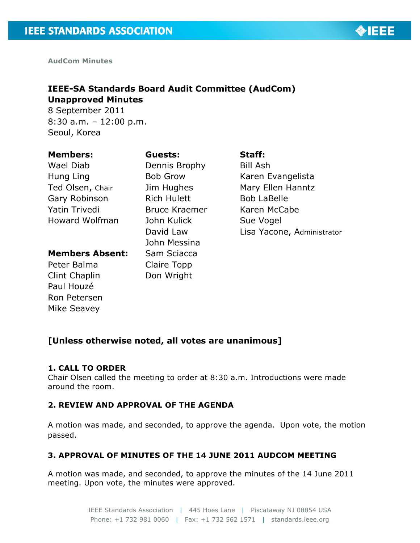

**AudCom Minutes**

## **IEEE-SA Standards Board Audit Committee (AudCom) Unapproved Minutes**

8 September 2011 8:30 a.m. – 12:00 p.m. Seoul, Korea

#### **Members:** Wael Diab

Dennis Brophy Bob Grow

**Guests:**

Hung Ling Ted Olsen, Chair Gary Robinson Yatin Trivedi Howard Wolfman

## **Members Absent:**

Peter Balma Clint Chaplin Paul Houzé Ron Petersen Mike Seavey

Jim Hughes Rich Hulett Bruce Kraemer John Kulick David Law John Messina Sam Sciacca Claire Topp Don Wright

# Bill Ash Karen Evangelista

**Staff:**

Mary Ellen Hanntz Bob LaBelle Karen McCabe Sue Vogel Lisa Yacone, Administrator

## **[Unless otherwise noted, all votes are unanimous]**

#### **1. CALL TO ORDER**

Chair Olsen called the meeting to order at 8:30 a.m. Introductions were made around the room.

## **2. REVIEW AND APPROVAL OF THE AGENDA**

A motion was made, and seconded, to approve the agenda. Upon vote, the motion passed.

## **3. APPROVAL OF MINUTES OF THE 14 JUNE 2011 AUDCOM MEETING**

A motion was made, and seconded, to approve the minutes of the 14 June 2011 meeting. Upon vote, the minutes were approved.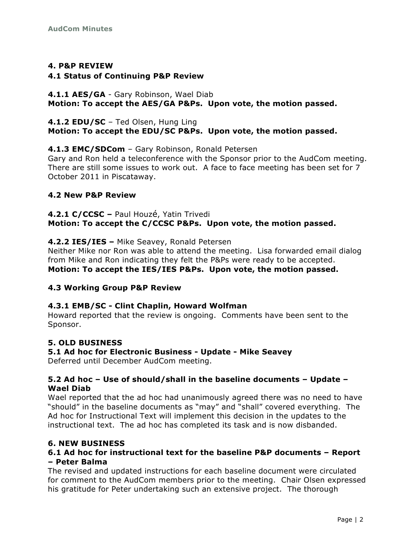## **4. P&P REVIEW**

#### **4.1 Status of Continuing P&P Review**

#### **4.1.1 AES/GA** - Gary Robinson, Wael Diab **Motion: To accept the AES/GA P&Ps. Upon vote, the motion passed.**

## **4.1.2 EDU/SC** – Ted Olsen, Hung Ling **Motion: To accept the EDU/SC P&Ps. Upon vote, the motion passed.**

## **4.1.3 EMC/SDCom** – Gary Robinson, Ronald Petersen

Gary and Ron held a teleconference with the Sponsor prior to the AudCom meeting. There are still some issues to work out. A face to face meeting has been set for 7 October 2011 in Piscataway.

#### **4.2 New P&P Review**

**4.2.1 C/CCSC –** Paul Houzé, Yatin Trivedi **Motion: To accept the C/CCSC P&Ps. Upon vote, the motion passed.**

#### **4.2.2 IES/IES –** Mike Seavey, Ronald Petersen

Neither Mike nor Ron was able to attend the meeting. Lisa forwarded email dialog from Mike and Ron indicating they felt the P&Ps were ready to be accepted.

**Motion: To accept the IES/IES P&Ps. Upon vote, the motion passed.**

## **4.3 Working Group P&P Review**

## **4.3.1 EMB/SC - Clint Chaplin, Howard Wolfman**

Howard reported that the review is ongoing. Comments have been sent to the Sponsor.

## **5. OLD BUSINESS**

## **5.1 Ad hoc for Electronic Business - Update - Mike Seavey**

Deferred until December AudCom meeting.

#### **5.2 Ad hoc – Use of should/shall in the baseline documents – Update – Wael Diab**

Wael reported that the ad hoc had unanimously agreed there was no need to have "should" in the baseline documents as "may" and "shall" covered everything. The Ad hoc for Instructional Text will implement this decision in the updates to the instructional text. The ad hoc has completed its task and is now disbanded.

## **6. NEW BUSINESS**

#### **6.1 Ad hoc for instructional text for the baseline P&P documents – Report – Peter Balma**

The revised and updated instructions for each baseline document were circulated for comment to the AudCom members prior to the meeting. Chair Olsen expressed his gratitude for Peter undertaking such an extensive project. The thorough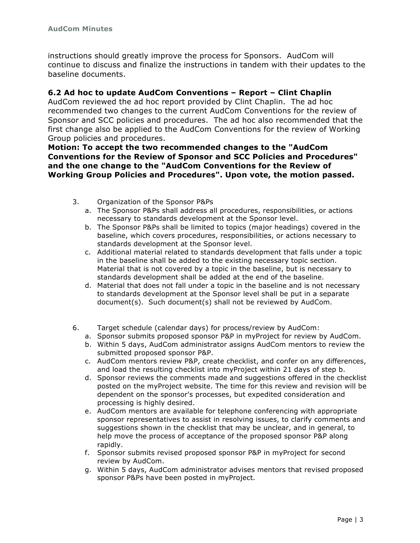instructions should greatly improve the process for Sponsors. AudCom will continue to discuss and finalize the instructions in tandem with their updates to the baseline documents.

#### **6.2 Ad hoc to update AudCom Conventions – Report – Clint Chaplin**

AudCom reviewed the ad hoc report provided by Clint Chaplin. The ad hoc recommended two changes to the current AudCom Conventions for the review of Sponsor and SCC policies and procedures. The ad hoc also recommended that the first change also be applied to the AudCom Conventions for the review of Working Group policies and procedures.

#### **Motion: To accept the two recommended changes to the "AudCom Conventions for the Review of Sponsor and SCC Policies and Procedures" and the one change to the "AudCom Conventions for the Review of Working Group Policies and Procedures". Upon vote, the motion passed.**

- 3. Organization of the Sponsor P&Ps
	- a. The Sponsor P&Ps shall address all procedures, responsibilities, or actions necessary to standards development at the Sponsor level.
	- b. The Sponsor P&Ps shall be limited to topics (major headings) covered in the baseline, which covers procedures, responsibilities, or actions necessary to standards development at the Sponsor level.
	- c. Additional material related to standards development that falls under a topic in the baseline shall be added to the existing necessary topic section. Material that is not covered by a topic in the baseline, but is necessary to standards development shall be added at the end of the baseline.
	- d. Material that does not fall under a topic in the baseline and is not necessary to standards development at the Sponsor level shall be put in a separate document(s). Such document(s) shall not be reviewed by AudCom.
- 6. Target schedule (calendar days) for process/review by AudCom:
	- a. Sponsor submits proposed sponsor P&P in myProject for review by AudCom.
	- b. Within 5 days, AudCom administrator assigns AudCom mentors to review the submitted proposed sponsor P&P.
	- c. AudCom mentors review P&P, create checklist, and confer on any differences, and load the resulting checklist into myProject within 21 days of step b.
	- d. Sponsor reviews the comments made and suggestions offered in the checklist posted on the myProject website. The time for this review and revision will be dependent on the sponsor's processes, but expedited consideration and processing is highly desired.
	- e. AudCom mentors are available for telephone conferencing with appropriate sponsor representatives to assist in resolving issues, to clarify comments and suggestions shown in the checklist that may be unclear, and in general, to help move the process of acceptance of the proposed sponsor P&P along rapidly.
	- f. Sponsor submits revised proposed sponsor P&P in myProject for second review by AudCom.
	- g. Within 5 days, AudCom administrator advises mentors that revised proposed sponsor P&Ps have been posted in myProject.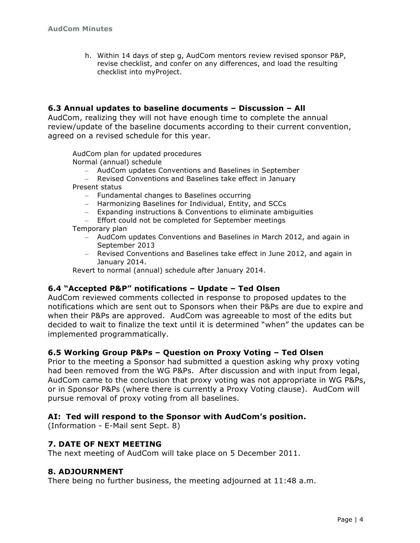h. Within 14 days of step g, AudCom mentors review revised sponsor P&P, revise checklist, and confer on any differences, and load the resulting checklist into myProject.

#### **6.3 Annual updates to baseline documents – Discussion – All**

AudCom, realizing they will not have enough time to complete the annual review/update of the baseline documents according to their current convention, agreed on a revised schedule for this year.

AudCom plan for updated procedures

Normal (annual) schedule

- AudCom updates Conventions and Baselines in September
- Revised Conventions and Baselines take effect in January

Present status

- Fundamental changes to Baselines occurring
- Harmonizing Baselines for Individual, Entity, and SCCs
- Expanding instructions & Conventions to eliminate ambiguities
- Effort could not be completed for September meetings

Temporary plan

- AudCom updates Conventions and Baselines in March 2012, and again in September 2013
- Revised Conventions and Baselines take effect in June 2012, and again in January 2014.

Revert to normal (annual) schedule after January 2014.

#### **6.4 "Accepted P&P" notifications – Update – Ted Olsen**

AudCom reviewed comments collected in response to proposed updates to the notifications which are sent out to Sponsors when their P&Ps are due to expire and when their P&Ps are approved. AudCom was agreeable to most of the edits but decided to wait to finalize the text until it is determined "when" the updates can be implemented programmatically.

#### **6.5 Working Group P&Ps – Question on Proxy Voting – Ted Olsen**

Prior to the meeting a Sponsor had submitted a question asking why proxy voting had been removed from the WG P&Ps. After discussion and with input from legal, AudCom came to the conclusion that proxy voting was not appropriate in WG P&Ps, or in Sponsor P&Ps (where there is currently a Proxy Voting clause). AudCom will pursue removal of proxy voting from all baselines.

#### **AI: Ted will respond to the Sponsor with AudCom's position.**

(Information - E-Mail sent Sept. 8)

#### **7. DATE OF NEXT MEETING**

The next meeting of AudCom will take place on 5 December 2011.

#### **8. ADJOURNMENT**

There being no further business, the meeting adjourned at 11:48 a.m.